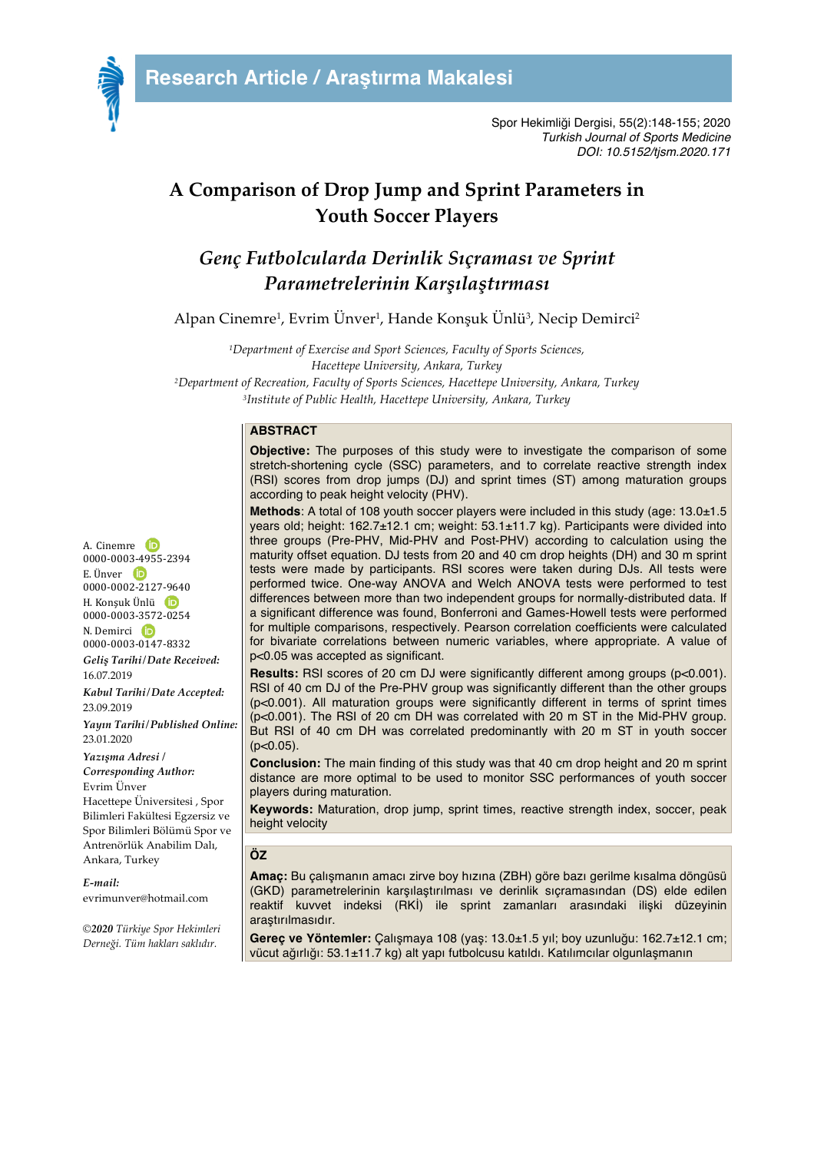

Spor Hekimliği Dergisi, 55(2):148-155; 2020 *Turkish Journal of Sports Medicine DOI: 10.5152/tjsm.2020.171*

## **A Comparison of Drop Jump and Sprint Parameters in Youth Soccer Players**

# *Genç Futbolcularda Derinlik Sıçraması ve Sprint Parametrelerinin Karşılaştırması*

Alpan Cinemre1, Evrim Ünver1, Hande Konşuk Ünlü3, Necip Demirci2

*1Department of Exercise and Sport Sciences, Faculty of Sports Sciences, Hacettepe University, Ankara, Turkey 2Department of Recreation, Faculty of Sports Sciences, Hacettepe University, Ankara, Turkey 3Institute of Public Health, Hacettepe University, Ankara, Turkey*

### **ABSTRACT**

**Objective:** The purposes of this study were to investigate the comparison of some stretch-shortening cycle (SSC) parameters, and to correlate reactive strength index (RSI) scores from drop jumps (DJ) and sprint times (ST) among maturation groups according to peak height velocity (PHV).

**Methods**: A total of 108 youth soccer players were included in this study (age: 13.0±1.5 years old; height: 162.7±12.1 cm; weight: 53.1±11.7 kg). Participants were divided into three groups (Pre-PHV, Mid-PHV and Post-PHV) according to calculation using the maturity offset equation. DJ tests from 20 and 40 cm drop heights (DH) and 30 m sprint tests were made by participants. RSI scores were taken during DJs. All tests were performed twice. One-way ANOVA and Welch ANOVA tests were performed to test differences between more than two independent groups for normally-distributed data. If a significant difference was found, Bonferroni and Games-Howell tests were performed for multiple comparisons, respectively. Pearson correlation coefficients were calculated for bivariate correlations between numeric variables, where appropriate. A value of p<0.05 was accepted as significant.

Results: RSI scores of 20 cm DJ were significantly different among groups (p<0.001). RSI of 40 cm DJ of the Pre-PHV group was significantly different than the other groups (p<0.001). All maturation groups were significantly different in terms of sprint times (p<0.001). The RSI of 20 cm DH was correlated with 20 m ST in the Mid-PHV group. But RSI of 40 cm DH was correlated predominantly with 20 m ST in youth soccer  $(p<0.05)$ .

**Conclusion:** The main finding of this study was that 40 cm drop height and 20 m sprint distance are more optimal to be used to monitor SSC performances of youth soccer players during maturation.

**Keywords:** Maturation, drop jump, sprint times, reactive strength index, soccer, peak height velocity

### **ÖZ**

**Amaç:** Bu çalışmanın amacı zirve boy hızına (ZBH) göre bazı gerilme kısalma döngüsü (GKD) parametrelerinin karşılaştırılması ve derinlik sıçramasından (DS) elde edilen reaktif kuvvet indeksi (RKİ) ile sprint zamanları arasındaki ilişki düzeyinin araştırılmasıdır.

**Gereç ve Yöntemler:** Çalışmaya 108 (yaş: 13.0±1.5 yıl; boy uzunluğu: 162.7±12.1 cm; vücut ağırlığı: 53.1±11.7 kg) alt yapı futbolcusu katıldı. Katılımcılar olgunlaşmanın

A. Cinemre 0000-0003-4955-2394  $E$ . Ünver  $D$ 0000-0002-2127-9640 H. Konşuk Ünlü 0000-0003-3572-0254 N. Demirci (D 0000-0003-0147-8332 *Geliş Tarihi/Date Received:* 16.07.2019 *Kabul Tarihi/Date Accepted:* 23.09.2019 *Yayın Tarihi/Published Online:* 23.01.2020 *Yazışma Adresi /* 

*Corresponding Author:* Evrim Ünver Hacettepe Üniversitesi , Spor Bilimleri Fakültesi Egzersiz ve Spor Bilimleri Bölümü Spor ve Antrenörlük Anabilim Dalı, Ankara, Turkey

*E-mail:* evrimunver@hotmail.com

*©2020 Türkiye Spor Hekimleri Derneği. Tüm hakları saklıdır.*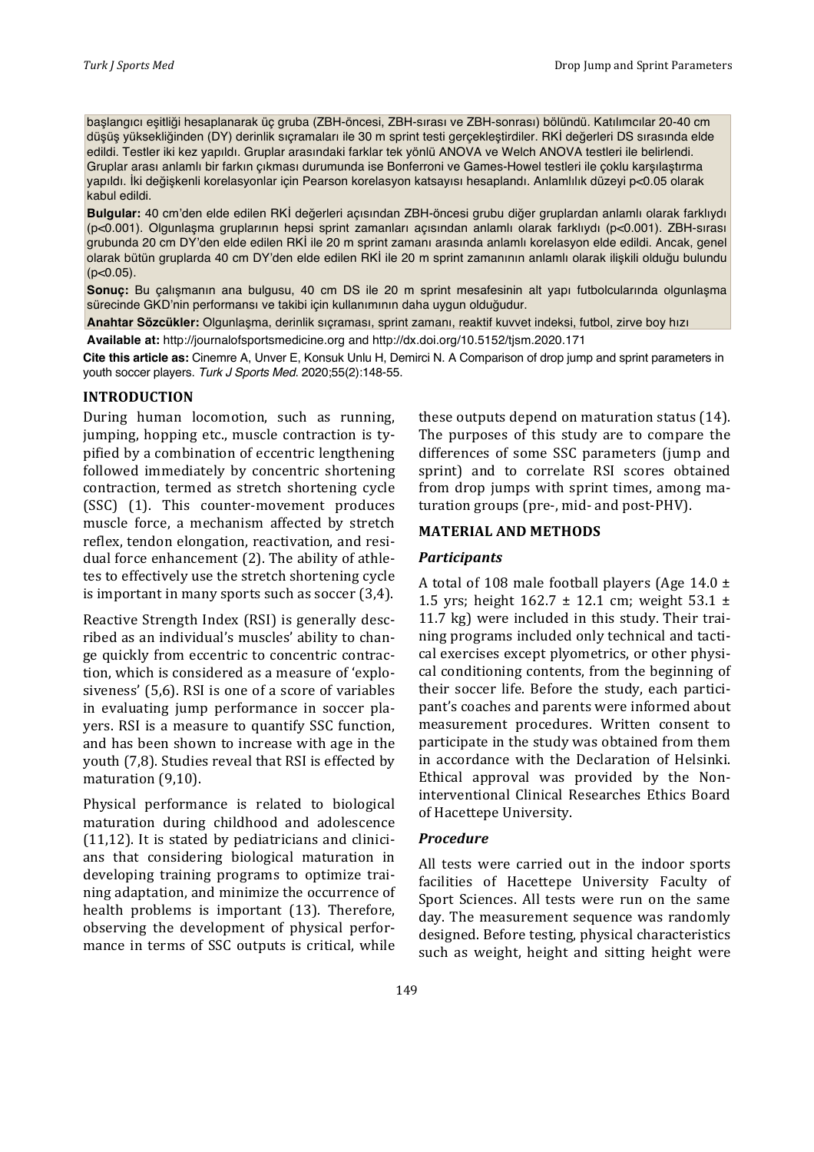başlangıcı eşitliği hesaplanarak üç gruba (ZBH-öncesi, ZBH-sırası ve ZBH-sonrası) bölündü. Katılımcılar 20-40 cm düşüş yüksekliğinden (DY) derinlik sıçramaları ile 30 m sprint testi gerçekleştirdiler. RKİ değerleri DS sırasında elde edildi. Testler iki kez yapıldı. Gruplar arasındaki farklar tek yönlü ANOVA ve Welch ANOVA testleri ile belirlendi. Gruplar arası anlamlı bir farkın çıkması durumunda ise Bonferroni ve Games-Howel testleri ile çoklu karşılaştırma yapıldı. İki değişkenli korelasyonlar için Pearson korelasyon katsayısı hesaplandı. Anlamlılık düzeyi p<0.05 olarak kabul edildi.

**Bulgular:** 40 cm'den elde edilen RKİ değerleri açısından ZBH-öncesi grubu diğer gruplardan anlamlı olarak farklıydı (p<0.001). Olgunlaşma gruplarının hepsi sprint zamanları açısından anlamlı olarak farklıydı (p<0.001). ZBH-sırası grubunda 20 cm DY'den elde edilen RKİ ile 20 m sprint zamanı arasında anlamlı korelasyon elde edildi. Ancak, genel olarak bütün gruplarda 40 cm DY'den elde edilen RKİ ile 20 m sprint zamanının anlamlı olarak ilişkili olduğu bulundu  $(p<0.05)$ .

**Sonuç:** Bu çalışmanın ana bulgusu, 40 cm DS ile 20 m sprint mesafesinin alt yapı futbolcularında olgunlaşma sürecinde GKD'nin performansı ve takibi için kullanımının daha uygun olduğudur.

**Anahtar Sözcükler:** Olgunlaşma, derinlik sıçraması, sprint zamanı, reaktif kuvvet indeksi, futbol, zirve boy hızı

**Available at:** http://journalofsportsmedicine.org and http://dx.doi.org/10.5152/tjsm.2020.171

**Cite this article as:** Cinemre A, Unver E, Konsuk Unlu H, Demirci N. A Comparison of drop jump and sprint parameters in youth soccer players. *Turk J Sports Med*. 2020;55(2):148-55.

#### **INTRODUCTION**

During human locomotion, such as running, jumping, hopping etc., muscle contraction is typified by a combination of eccentric lengthening followed immediately by concentric shortening contraction, termed as stretch shortening cycle (SSC) (1). This counter-movement produces muscle force, a mechanism affected by stretch reflex, tendon elongation, reactivation, and residual force enhancement (2). The ability of athletes to effectively use the stretch shortening cycle is important in many sports such as soccer  $(3,4)$ .

Reactive Strength Index (RSI) is generally described as an individual's muscles' ability to change quickly from eccentric to concentric contraction, which is considered as a measure of 'explosiveness' (5,6). RSI is one of a score of variables in evaluating jump performance in soccer players. RSI is a measure to quantify SSC function, and has been shown to increase with age in the youth (7,8). Studies reveal that RSI is effected by maturation  $(9,10)$ .

Physical performance is related to biological maturation during childhood and adolescence  $(11,12)$ . It is stated by pediatricians and clinicians that considering biological maturation in developing training programs to optimize training adaptation, and minimize the occurrence of health problems is important (13). Therefore, observing the development of physical performance in terms of SSC outputs is critical, while

these outputs depend on maturation status  $(14)$ . The purposes of this study are to compare the differences of some SSC parameters (jump and sprint) and to correlate RSI scores obtained from drop jumps with sprint times, among maturation groups (pre-, mid- and post-PHV).

## **MATERIAL AND METHODS**

#### *Participants*

A total of 108 male football players (Age 14.0  $\pm$ 1.5 yrs; height  $162.7 \pm 12.1$  cm; weight  $53.1 \pm 12.1$ 11.7 kg) were included in this study. Their training programs included only technical and tactical exercises except plyometrics, or other physical conditioning contents, from the beginning of their soccer life. Before the study, each participant's coaches and parents were informed about measurement procedures. Written consent to participate in the study was obtained from them in accordance with the Declaration of Helsinki. Ethical approval was provided by the Noninterventional Clinical Researches Ethics Board of Hacettepe University.

### *Procedure*

All tests were carried out in the indoor sports facilities of Hacettepe University Faculty of Sport Sciences. All tests were run on the same day. The measurement sequence was randomly designed. Before testing, physical characteristics such as weight, height and sitting height were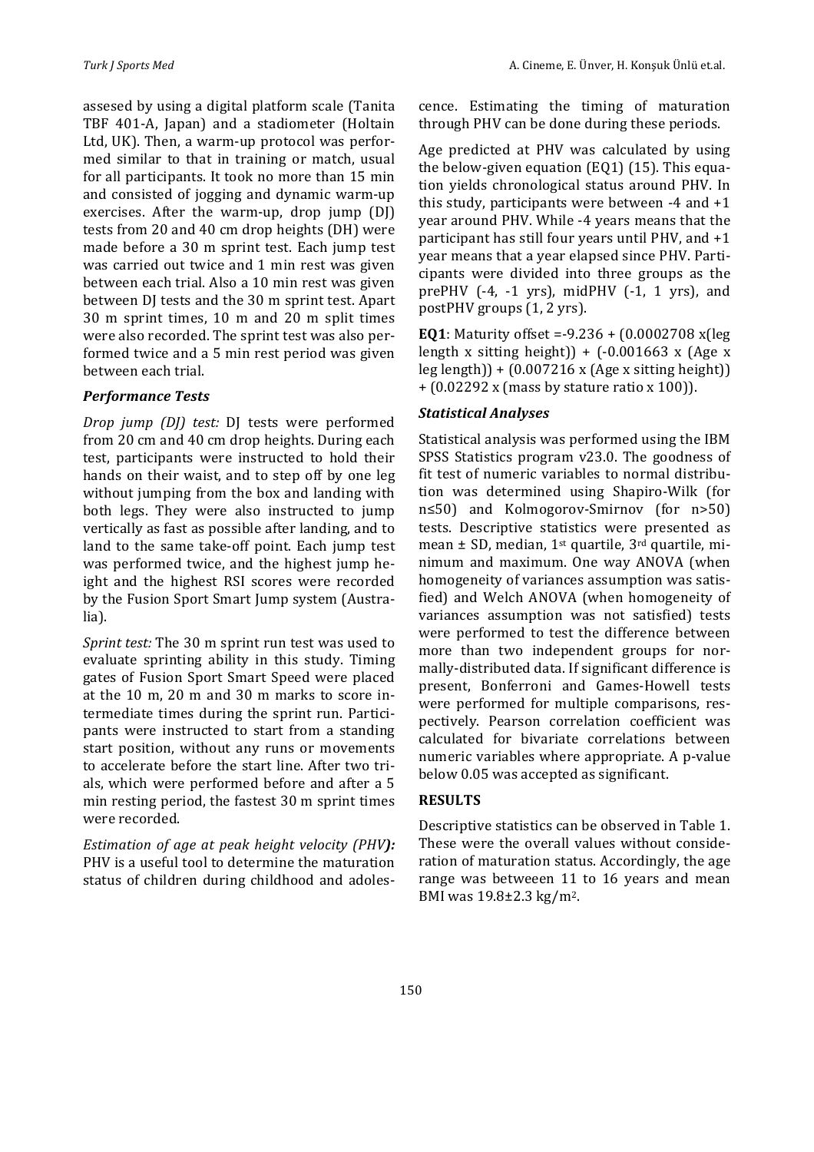assesed by using a digital platform scale (Tanita TBF 401-A, Japan) and a stadiometer (Holtain Ltd, UK). Then, a warm-up protocol was performed similar to that in training or match, usual for all participants. It took no more than 15 min and consisted of jogging and dynamic warm-up exercises. After the warm-up, drop jump  $(D)$ tests from 20 and 40 cm drop heights (DH) were made before a 30 m sprint test. Each jump test was carried out twice and 1 min rest was given between each trial. Also a 10 min rest was given between DJ tests and the 30 m sprint test. Apart  $30$  m sprint times,  $10$  m and  $20$  m split times were also recorded. The sprint test was also performed twice and a 5 min rest period was given between each trial.

## *Performance Tests*

*Drop jump (DJ)* test: DJ tests were performed from 20 cm and 40 cm drop heights. During each test, participants were instructed to hold their hands on their waist, and to step off by one leg without jumping from the box and landing with both legs. They were also instructed to jump vertically as fast as possible after landing, and to land to the same take-off point. Each jump test was performed twice, and the highest jump height and the highest RSI scores were recorded by the Fusion Sport Smart Jump system (Australia).

*Sprint test:* The 30 m sprint run test was used to evaluate sprinting ability in this study. Timing gates of Fusion Sport Smart Speed were placed at the  $10$  m,  $20$  m and  $30$  m marks to score intermediate times during the sprint run. Participants were instructed to start from a standing start position, without any runs or movements to accelerate before the start line. After two trials, which were performed before and after a 5 min resting period, the fastest 30 m sprint times were recorded.

*Estimation of age at peak height velocity (PHV):* PHV is a useful tool to determine the maturation status of children during childhood and adolescence. Estimating the timing of maturation through PHV can be done during these periods.

Age predicted at PHV was calculated by using the below-given equation  $(EQ1)$  (15). This equation yields chronological status around PHV. In this study, participants were between  $-4$  and  $+1$ year around PHV. While -4 years means that the participant has still four years until PHV, and  $+1$ year means that a year elapsed since PHV. Participants were divided into three groups as the prePHV  $(-4, -1 \text{ yrs})$ , midPHV  $(-1, 1 \text{ yrs})$ , and postPHV groups  $(1, 2 \text{ yrs})$ .

**EQ1**: Maturity offset =-9.236 +  $(0.0002708 \text{ x}$ (leg length x sitting height)) +  $(-0.001663 \times (Age \times$  $\text{leg length)} + (0.007216 \times (\text{Age x sitting height}))$  $+$  (0.02292 x (mass by stature ratio x 100)).

### *Statistical Analyses*

Statistical analysis was performed using the IBM SPSS Statistics program  $v23.0$ . The goodness of fit test of numeric variables to normal distribution was determined using Shapiro-Wilk (for  $n \leq 50$  and Kolmogorov-Smirnov (for  $n > 50$ ) tests. Descriptive statistics were presented as mean  $\pm$  SD, median, 1<sup>st</sup> quartile, 3<sup>rd</sup> quartile, minimum and maximum. One way ANOVA (when homogeneity of variances assumption was satisfied) and Welch ANOVA (when homogeneity of variances assumption was not satisfied) tests were performed to test the difference between more than two independent groups for normally-distributed data. If significant difference is present, Bonferroni and Games-Howell tests were performed for multiple comparisons, respectively. Pearson correlation coefficient was calculated for bivariate correlations between numeric variables where appropriate. A p-value below 0.05 was accepted as significant.

## **RESULTS**

Descriptive statistics can be observed in Table 1. These were the overall values without consideration of maturation status. Accordingly, the age range was betweeen 11 to 16 years and mean BMI was 19.8±2.3 kg/m<sup>2</sup>.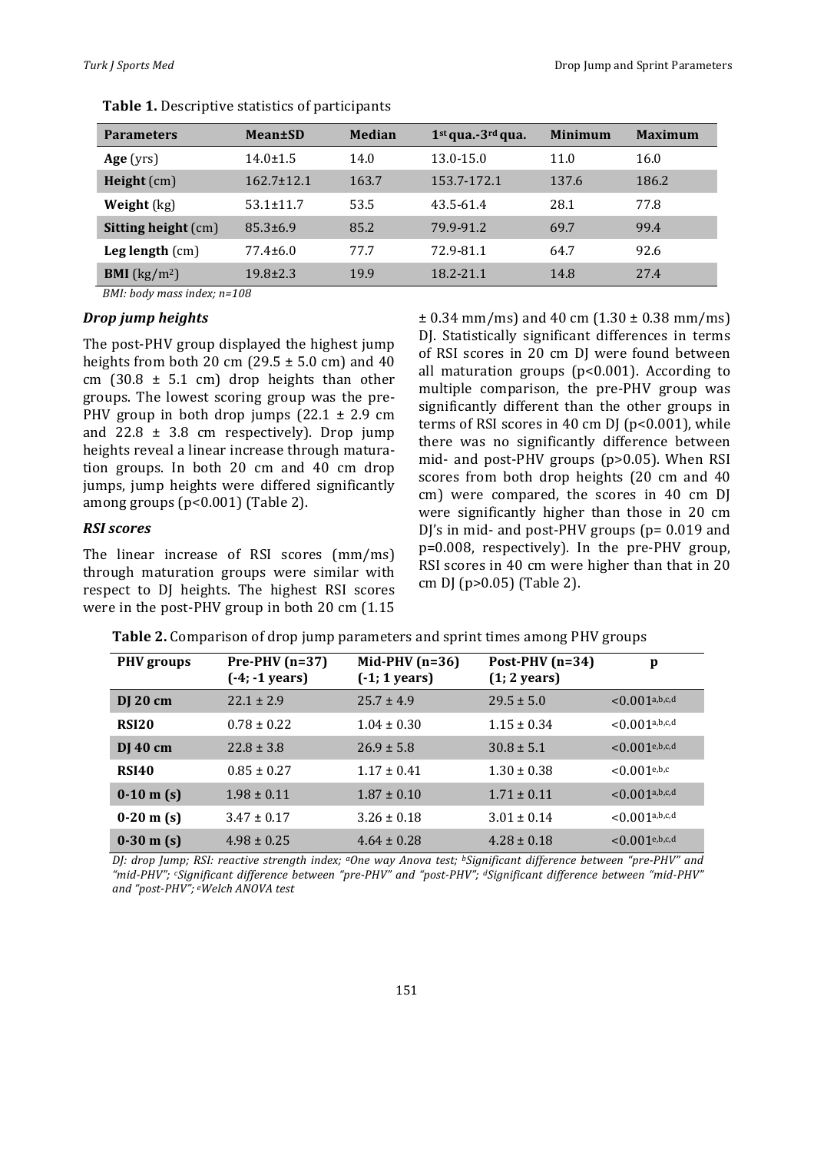| <b>Parameters</b>              | Mean±SD          | <b>Median</b> | $1st$ qua.-3 <sup>rd</sup> qua. | Minimum | <b>Maximum</b> |
|--------------------------------|------------------|---------------|---------------------------------|---------|----------------|
| Age (yrs)                      | $14.0 \pm 1.5$   | 14.0          | 13.0-15.0                       | 11.0    | 16.0           |
| <b>Height</b> $(cm)$           | $162.7 \pm 12.1$ | 163.7         | 153.7-172.1                     | 137.6   | 186.2          |
| Weight $(kg)$                  | $53.1 \pm 11.7$  | 53.5          | 43.5-61.4                       | 28.1    | 77.8           |
| <b>Sitting height (cm)</b>     | $85.3 \pm 6.9$   | 85.2          | 79.9-91.2                       | 69.7    | 99.4           |
| Leg length $(cm)$              | $77.4 \pm 6.0$   | 77.7          | 72.9-81.1                       | 64.7    | 92.6           |
| <b>BMI</b> ( $\text{kg/m}^2$ ) | $19.8 \pm 2.3$   | 19.9          | 18.2-21.1                       | 14.8    | 27.4           |

**Table 1.** Descriptive statistics of participants

*BMI: body mass index: n=108* 

#### *Drop jump heights*

The post-PHV group displayed the highest jump heights from both 20 cm (29.5  $\pm$  5.0 cm) and 40 cm  $(30.8 \pm 5.1 \text{ cm})$  drop heights than other groups. The lowest scoring group was the pre-PHV group in both drop jumps  $(22.1 \pm 2.9 \text{ cm})$ and  $22.8 \pm 3.8$  cm respectively). Drop jump heights reveal a linear increase through maturation groups. In both 20 cm and 40 cm drop jumps, jump heights were differed significantly among groups  $(p<0.001)$  (Table 2).

#### *RSI scores*

The linear increase of RSI scores (mm/ms) through maturation groups were similar with respect to DJ heights. The highest RSI scores were in the post-PHV group in both  $20 \text{ cm}$  (1.15)  $\pm$  0.34 mm/ms) and 40 cm (1.30  $\pm$  0.38 mm/ms) DJ. Statistically significant differences in terms of RSI scores in 20 cm DJ were found between all maturation groups  $(p<0.001)$ . According to multiple comparison, the pre-PHV group was significantly different than the other groups in terms of RSI scores in 40 cm DJ ( $p$ <0.001), while there was no significantly difference between mid- and post-PHV groups  $(p>0.05)$ . When RSI scores from both drop heights  $(20 \text{ cm and } 40)$ cm) were compared, the scores in 40 cm DJ were significantly higher than those in 20 cm DJ's in mid- and post-PHV groups ( $p= 0.019$  and  $p=0.008$ , respectively). In the pre-PHV group, RSI scores in 40 cm were higher than that in 20 cm DJ ( $p > 0.05$ ) (Table 2).

|  |  |  |  | Table 2. Comparison of drop jump parameters and sprint times among PHV groups |  |  |
|--|--|--|--|-------------------------------------------------------------------------------|--|--|
|--|--|--|--|-------------------------------------------------------------------------------|--|--|

| <b>PHV</b> groups | $Pre-PHV(n=37)$<br>(-4; -1 years) | Mid-PHV $(n=36)$<br>$(-1; 1 years)$ | Post-PHV $(n=34)$<br>$(1; 2 \text{ years})$ | p                          |
|-------------------|-----------------------------------|-------------------------------------|---------------------------------------------|----------------------------|
| DJ 20 cm          | $22.1 \pm 2.9$                    | $25.7 \pm 4.9$                      | $29.5 \pm 5.0$                              | $< 0.001$ a,b,c,d          |
| RSI <sub>20</sub> | $0.78 \pm 0.22$                   | $1.04 \pm 0.30$                     | $1.15 \pm 0.34$                             | $< 0.001$ a,b,c,d          |
| $DJ$ 40 cm        | $22.8 \pm 3.8$                    | $26.9 \pm 5.8$                      | $30.8 \pm 5.1$                              | $< 0.001$ e,b,c,d          |
| <b>RSI40</b>      | $0.85 \pm 0.27$                   | $1.17 \pm 0.41$                     | $1.30 \pm 0.38$                             | $< 0.001$ <sup>e,b,c</sup> |
| $0-10$ m (s)      | $1.98 \pm 0.11$                   | $1.87 \pm 0.10$                     | $1.71 \pm 0.11$                             | $< 0.001$ a,b,c,d          |
| $0-20$ m (s)      | $3.47 \pm 0.17$                   | $3.26 \pm 0.18$                     | $3.01 \pm 0.14$                             | $< 0.001^{\text{a,b,c,d}}$ |
| $0-30$ m (s)      | $4.98 \pm 0.25$                   | $4.64 \pm 0.28$                     | $4.28 \pm 0.18$                             | $<$ 0.001e, b, c, d        |

*DJ: drop Jump; RSI: reactive strength index; aOne way Anova test; bSignificant difference between "pre-PHV" and "mid-PHV"; cSignificant difference between "pre-PHV" and "post-PHV"; dSignificant difference between "mid-PHV" and "post-PHV"; eWelch ANOVA test*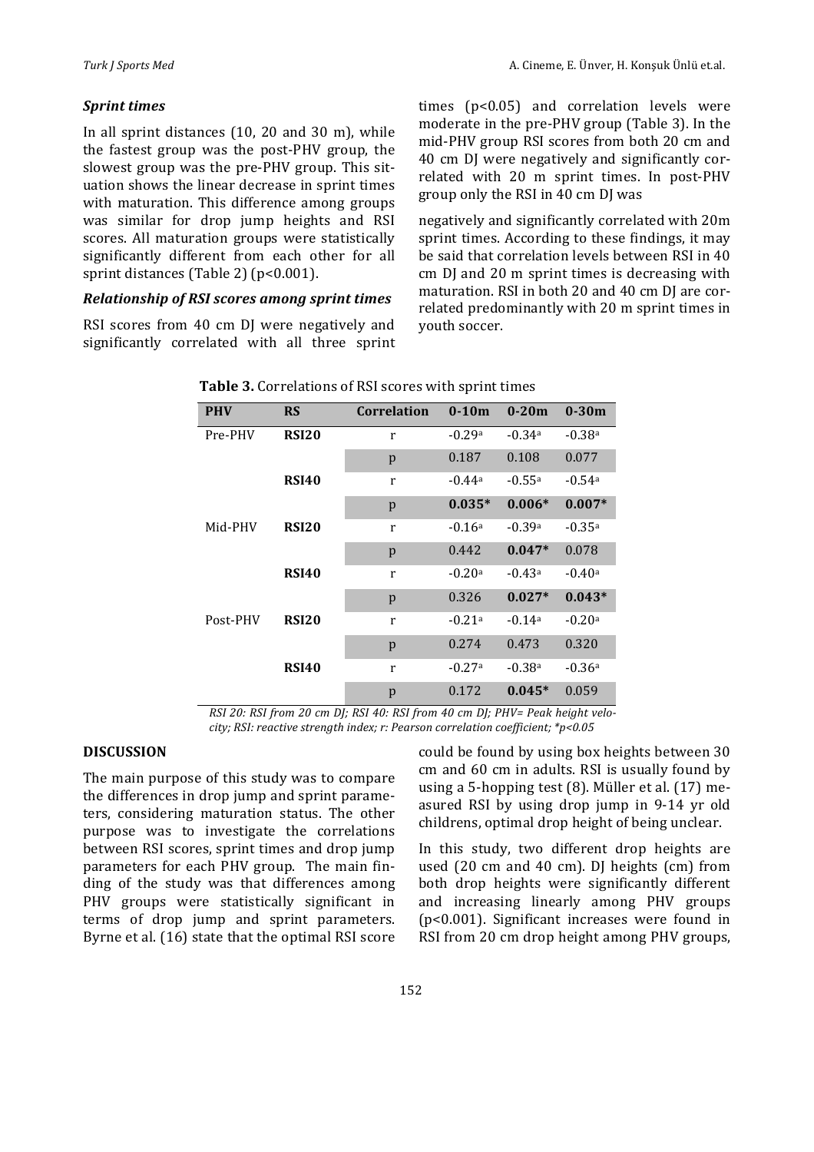## *Sprint times*

In all sprint distances  $(10, 20$  and  $30$  m), while the fastest group was the post-PHV group, the slowest group was the pre-PHV group. This situation shows the linear decrease in sprint times with maturation. This difference among groups was similar for drop jump heights and RSI scores. All maturation groups were statistically significantly different from each other for all sprint distances (Table 2) ( $p$ <0.001).

#### *Relationship of RSI scores among sprint times*

RSI scores from 40 cm DJ were negatively and significantly correlated with all three sprint times  $(p<0.05)$  and correlation levels were moderate in the pre-PHV group (Table 3). In the mid-PHV group RSI scores from both 20 cm and 40 cm DJ were negatively and significantly correlated with 20 m sprint times. In post-PHV group only the RSI in 40 cm DJ was

negatively and significantly correlated with 20m sprint times. According to these findings, it may be said that correlation levels between RSI in 40 cm DJ and 20 m sprint times is decreasing with maturation. RSI in both 20 and 40 cm DJ are correlated predominantly with 20 m sprint times in youth soccer.

| <b>PHV</b> | <b>RS</b>    | <b>Correlation</b> | $0 - 10m$ | $0 - 20m$ | $0-30m$  |
|------------|--------------|--------------------|-----------|-----------|----------|
| Pre-PHV    | <b>RSI20</b> | r                  | $-0.29a$  | $-0.34a$  | $-0.38a$ |
|            |              | p                  | 0.187     | 0.108     | 0.077    |
|            | <b>RSI40</b> | r                  | $-0.44a$  | $-0.55a$  | $-0.54a$ |
|            |              | p                  | $0.035*$  | $0.006*$  | $0.007*$ |
| Mid-PHV    | <b>RSI20</b> | r                  | $-0.16a$  | $-0.39a$  | $-0.35a$ |
|            |              | p                  | 0.442     | $0.047*$  | 0.078    |
|            | <b>RSI40</b> | r                  | $-0.20a$  | $-0.43a$  | $-0.40a$ |
|            |              | p                  | 0.326     | $0.027*$  | $0.043*$ |
| Post-PHV   | <b>RSI20</b> | r                  | $-0.21a$  | $-0.14a$  | $-0.20a$ |
|            |              | p                  | 0.274     | 0.473     | 0.320    |
|            | <b>RSI40</b> | r                  | $-0.27a$  | $-0.38a$  | $-0.36a$ |
|            |              | p                  | 0.172     | $0.045*$  | 0.059    |

| Table 3. Correlations of RSI scores with sprint times |
|-------------------------------------------------------|
|-------------------------------------------------------|

*RSI* 20: RSI from 20 cm DJ; RSI 40: RSI from 40 cm DJ; PHV= Peak height velo*city;* RSI: reactive strength index; r: Pearson correlation coefficient; \*p<0.05

### **DISCUSSION**

The main purpose of this study was to compare the differences in drop jump and sprint parameters, considering maturation status. The other purpose was to investigate the correlations between RSI scores, sprint times and drop jump parameters for each PHV group. The main finding of the study was that differences among PHV groups were statistically significant in terms of drop jump and sprint parameters. Byrne et al. (16) state that the optimal RSI score could be found by using box heights between 30 cm and 60 cm in adults. RSI is usually found by using a 5-hopping test  $(8)$ . Müller et al.  $(17)$  measured RSI by using drop jump in 9-14 yr old childrens, optimal drop height of being unclear.

In this study, two different drop heights are used (20 cm and 40 cm). DJ heights (cm) from both drop heights were significantly different and increasing linearly among PHV groups ( $p$ <0.001). Significant increases were found in RSI from 20 cm drop height among PHV groups,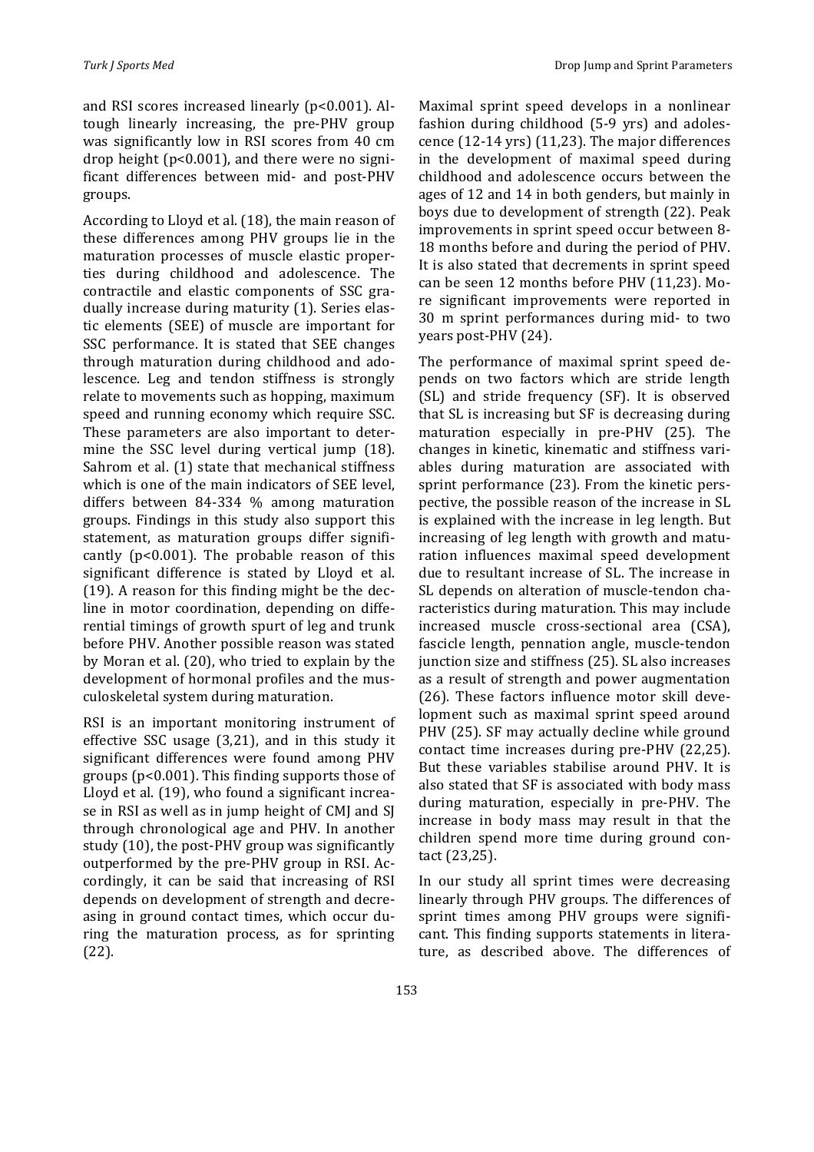and RSI scores increased linearly  $(p<0.001)$ . Altough linearly increasing, the pre-PHV group was significantly low in RSI scores from 40 cm drop height  $(p<0.001)$ , and there were no significant differences between mid- and post-PHV groups.

According to Lloyd et al. (18), the main reason of these differences among PHV groups lie in the maturation processes of muscle elastic properties during childhood and adolescence. The contractile and elastic components of SSC gradually increase during maturity (1). Series elastic elements (SEE) of muscle are important for SSC performance. It is stated that SEE changes through maturation during childhood and adolescence. Leg and tendon stiffness is strongly relate to movements such as hopping, maximum speed and running economy which require SSC. These parameters are also important to determine the SSC level during vertical jump  $(18)$ . Sahrom et al. (1) state that mechanical stiffness which is one of the main indicators of SEE level, differs between 84-334 % among maturation groups. Findings in this study also support this statement, as maturation groups differ significantly  $(p<0.001)$ . The probable reason of this significant difference is stated by Lloyd et al.  $(19)$ . A reason for this finding might be the decline in motor coordination, depending on differential timings of growth spurt of leg and trunk before PHV. Another possible reason was stated by Moran et al. (20), who tried to explain by the development of hormonal profiles and the musculoskeletal system during maturation.

RSI is an important monitoring instrument of effective SSC usage  $(3,21)$ , and in this study it significant differences were found among PHV groups ( $p$ <0.001). This finding supports those of Lloyd et al. (19), who found a significant increase in RSI as well as in jump height of CMJ and SJ through chronological age and PHV. In another study  $(10)$ , the post-PHV group was significantly outperformed by the pre-PHV group in RSI. Accordingly, it can be said that increasing of RSI depends on development of strength and decreasing in ground contact times, which occur during the maturation process, as for sprinting (22).

Maximal sprint speed develops in a nonlinear fashion during childhood (5-9 yrs) and adolescence  $(12-14 \text{ yrs})$   $(11,23)$ . The major differences in the development of maximal speed during childhood and adolescence occurs between the ages of 12 and 14 in both genders, but mainly in boys due to development of strength (22). Peak improvements in sprint speed occur between 8-18 months before and during the period of PHV. It is also stated that decrements in sprint speed can be seen 12 months before PHV (11,23). More significant improvements were reported in 30 m sprint performances during mid- to two years post-PHV (24).

The performance of maximal sprint speed depends on two factors which are stride length (SL) and stride frequency (SF). It is observed that SL is increasing but SF is decreasing during maturation especially in pre-PHV (25). The changes in kinetic, kinematic and stiffness variables during maturation are associated with sprint performance (23). From the kinetic perspective, the possible reason of the increase in SL is explained with the increase in leg length. But increasing of leg length with growth and maturation influences maximal speed development due to resultant increase of SL. The increase in SL depends on alteration of muscle-tendon characteristics during maturation. This may include increased muscle cross-sectional area (CSA), fascicle length, pennation angle, muscle-tendon junction size and stiffness (25). SL also increases as a result of strength and power augmentation  $(26)$ . These factors influence motor skill development such as maximal sprint speed around PHV (25). SF may actually decline while ground contact time increases during pre-PHV (22,25). But these variables stabilise around PHV. It is also stated that SF is associated with body mass during maturation, especially in pre-PHV. The increase in body mass may result in that the children spend more time during ground contact (23,25).

In our study all sprint times were decreasing linearly through PHV groups. The differences of sprint times among PHV groups were significant. This finding supports statements in literature, as described above. The differences of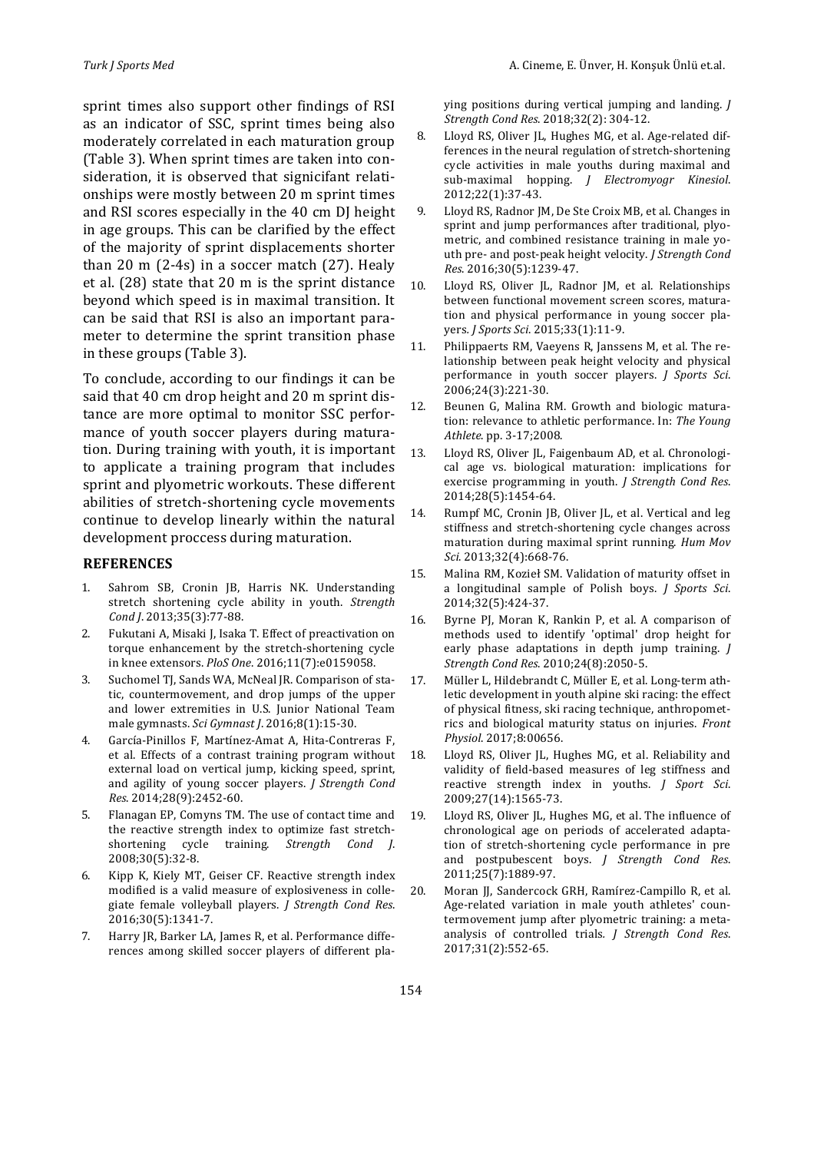sprint times also support other findings of RSI as an indicator of SSC, sprint times being also moderately correlated in each maturation group (Table 3). When sprint times are taken into consideration, it is observed that signicifant relationships were mostly between 20 m sprint times and RSI scores especially in the 40 cm DJ height in age groups. This can be clarified by the effect of the majority of sprint displacements shorter than  $20 \text{ m}$  (2-4s) in a soccer match (27). Healy et al.  $(28)$  state that  $20$  m is the sprint distance beyond which speed is in maximal transition. It can be said that RSI is also an important parameter to determine the sprint transition phase in these groups (Table 3).

To conclude, according to our findings it can be. said that 40 cm drop height and 20 m sprint distance are more optimal to monitor SSC performance of youth soccer players during maturation. During training with youth, it is important to applicate a training program that includes sprint and plyometric workouts. These different abilities of stretch-shortening cycle movements continue to develop linearly within the natural development proccess during maturation.

#### **REFERENCES**

- 1. Sahrom SB, Cronin JB, Harris NK. Understanding stretch shortening cycle ability in youth. Strength *Cond J*. 2013;35(3):77-88.
- 2. Fukutani A, Misaki J, Isaka T. Effect of preactivation on torque enhancement by the stretch-shortening cycle in knee extensors. *PloS One*. 2016;11(7):e0159058.
- 3. Suchomel TJ, Sands WA, McNeal JR. Comparison of static, countermovement, and drop jumps of the upper and lower extremities in U.S. Junior National Team male gymnasts. Sci Gymnast J. 2016;8(1):15-30.
- 4. García-Pinillos F, Martínez-Amat A, Hita-Contreras F, et al. Effects of a contrast training program without external load on vertical jump, kicking speed, sprint, and agility of young soccer players. *J Strength Cond Res*. 2014;28(9):2452-60.
- 5. Flanagan EP, Comyns TM. The use of contact time and the reactive strength index to optimize fast stretchshortening cycle training. *Strength Cond J*. 2008;30(5):32-8.
- 6. Kipp K, Kiely MT, Geiser CF. Reactive strength index modified is a valid measure of explosiveness in collegiate female volleyball players. *J Strength Cond Res*. 2016;30(5):1341-7.
- 7. Harry JR, Barker LA, James R, et al. Performance differences among skilled soccer players of different pla-

ying positions during vertical jumping and landing. *J Strength Cond Res*. 2018;32(2): 304-12.

- 8. Lloyd RS, Oliver JL, Hughes MG, et al. Age-related differences in the neural regulation of stretch-shortening cycle activities in male youths during maximal and sub-maximal hopping. *J Electromyogr Kinesiol*. 2012;22(1):37-43.
- 9. Lloyd RS, Radnor JM, De Ste Croix MB, et al. Changes in sprint and jump performances after traditional, plyometric, and combined resistance training in male youth pre- and post-peak height velocity. *J Strength Cond Res*. 2016;30(5):1239-47.
- 10. Lloyd RS, Oliver JL, Radnor JM, et al. Relationships between functional movement screen scores, maturation and physical performance in young soccer players*. J Sports Sci*. 2015;33(1):11-9.
- 11. Philippaerts RM, Vaeyens R, Janssens M, et al. The relationship between peak height velocity and physical performance in youth soccer players. *J Sports Sci*. 2006;24(3):221-30.
- 12. Beunen G, Malina RM. Growth and biologic maturation: relevance to athletic performance. In: The Young *Athlete*. pp. 3-17;2008.
- 13. Lloyd RS, Oliver JL, Faigenbaum AD, et al. Chronological age vs. biological maturation: implications for exercise programming in youth. *J Strength Cond Res.* 2014;28(5):1454-64.
- 14. Rumpf MC, Cronin JB, Oliver JL, et al. Vertical and leg stiffness and stretch-shortening cycle changes across maturation during maximal sprint running. *Hum Mov Sci*. 2013;32(4):668-76.
- 15. Malina RM, Kozieł SM. Validation of maturity offset in a longitudinal sample of Polish boys. *J Sports Sci*. 2014;32(5):424-37.
- 16. Byrne PJ, Moran K, Rankin P, et al. A comparison of methods used to identify 'optimal' drop height for early phase adaptations in depth jump training. *J Strength Cond Res*. 2010;24(8):2050-5.
- 17. Müller L, Hildebrandt C, Müller E, et al. Long-term athletic development in youth alpine ski racing: the effect of physical fitness, ski racing technique, anthropometrics and biological maturity status on injuries. Front *Physiol*. 2017;8:00656.
- 18. Lloyd RS, Oliver JL, Hughes MG, et al. Reliability and validity of field-based measures of leg stiffness and reactive strength index in youths. *J Sport Sci*. 2009;27(14):1565-73.
- 19. Lloyd RS, Oliver JL, Hughes MG, et al. The influence of chronological age on periods of accelerated adaptation of stretch-shortening cycle performance in pre and postpubescent boys. *J Strength Cond Res*. 2011;25(7):1889-97.
- 20. Moran JJ, Sandercock GRH, Ramírez-Campillo R, et al. Age-related variation in male youth athletes' countermovement jump after plyometric training: a metaanalysis of controlled trials. *J Strength Cond Res*. 2017;31(2):552-65.